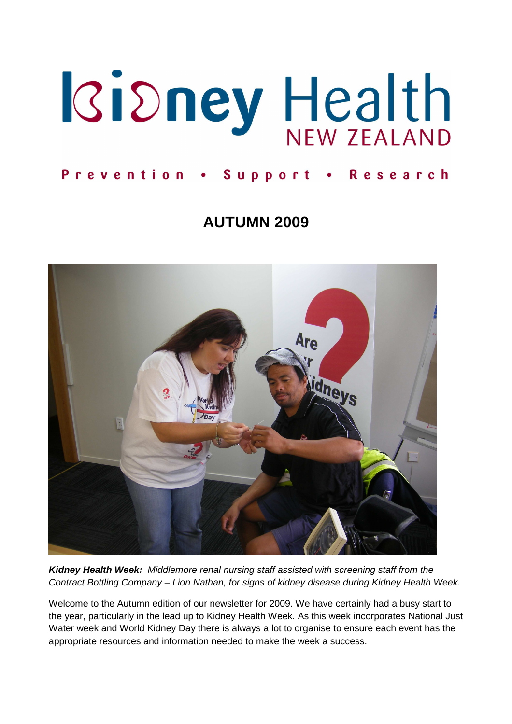

#### Prevention . Support . Research

# **AUTUMN 2009**



**Kidney Health Week:** Middlemore renal nursing staff assisted with screening staff from the Contract Bottling Company – Lion Nathan, for signs of kidney disease during Kidney Health Week.

Welcome to the Autumn edition of our newsletter for 2009. We have certainly had a busy start to the year, particularly in the lead up to Kidney Health Week. As this week incorporates National Just Water week and World Kidney Day there is always a lot to organise to ensure each event has the appropriate resources and information needed to make the week a success.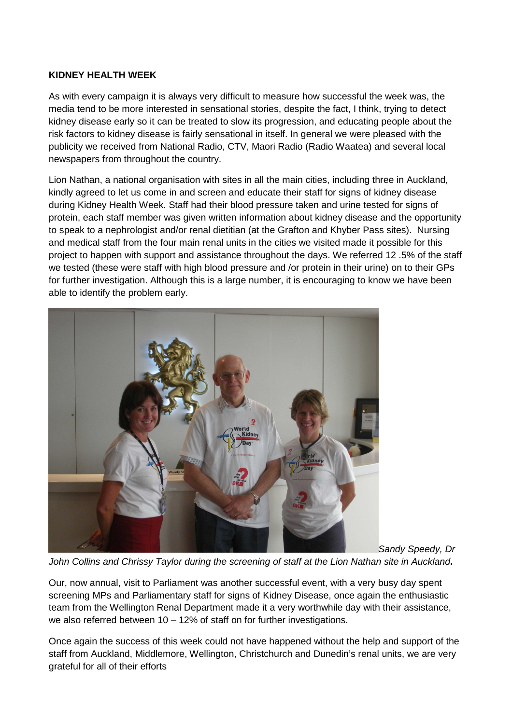#### **KIDNEY HEALTH WEEK**

As with every campaign it is always very difficult to measure how successful the week was, the media tend to be more interested in sensational stories, despite the fact, I think, trying to detect kidney disease early so it can be treated to slow its progression, and educating people about the risk factors to kidney disease is fairly sensational in itself. In general we were pleased with the publicity we received from National Radio, CTV, Maori Radio (Radio Waatea) and several local newspapers from throughout the country.

Lion Nathan, a national organisation with sites in all the main cities, including three in Auckland, kindly agreed to let us come in and screen and educate their staff for signs of kidney disease during Kidney Health Week. Staff had their blood pressure taken and urine tested for signs of protein, each staff member was given written information about kidney disease and the opportunity to speak to a nephrologist and/or renal dietitian (at the Grafton and Khyber Pass sites). Nursing and medical staff from the four main renal units in the cities we visited made it possible for this project to happen with support and assistance throughout the days. We referred 12 .5% of the staff we tested (these were staff with high blood pressure and /or protein in their urine) on to their GPs for further investigation. Although this is a large number, it is encouraging to know we have been able to identify the problem early.



Sandy Speedy, Dr

John Collins and Chrissy Taylor during the screening of staff at the Lion Nathan site in Auckland**.** 

Our, now annual, visit to Parliament was another successful event, with a very busy day spent screening MPs and Parliamentary staff for signs of Kidney Disease, once again the enthusiastic team from the Wellington Renal Department made it a very worthwhile day with their assistance, we also referred between 10 – 12% of staff on for further investigations.

Once again the success of this week could not have happened without the help and support of the staff from Auckland, Middlemore, Wellington, Christchurch and Dunedin's renal units, we are very grateful for all of their efforts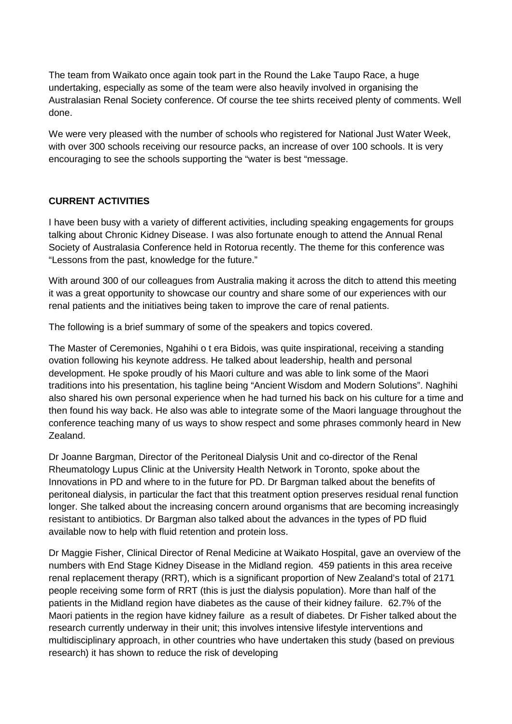The team from Waikato once again took part in the Round the Lake Taupo Race, a huge undertaking, especially as some of the team were also heavily involved in organising the Australasian Renal Society conference. Of course the tee shirts received plenty of comments. Well done.

We were very pleased with the number of schools who registered for National Just Water Week, with over 300 schools receiving our resource packs, an increase of over 100 schools. It is very encouraging to see the schools supporting the "water is best "message.

#### **CURRENT ACTIVITIES**

I have been busy with a variety of different activities, including speaking engagements for groups talking about Chronic Kidney Disease. I was also fortunate enough to attend the Annual Renal Society of Australasia Conference held in Rotorua recently. The theme for this conference was "Lessons from the past, knowledge for the future."

With around 300 of our colleagues from Australia making it across the ditch to attend this meeting it was a great opportunity to showcase our country and share some of our experiences with our renal patients and the initiatives being taken to improve the care of renal patients.

The following is a brief summary of some of the speakers and topics covered.

The Master of Ceremonies, Ngahihi o t era Bidois, was quite inspirational, receiving a standing ovation following his keynote address. He talked about leadership, health and personal development. He spoke proudly of his Maori culture and was able to link some of the Maori traditions into his presentation, his tagline being "Ancient Wisdom and Modern Solutions". Naghihi also shared his own personal experience when he had turned his back on his culture for a time and then found his way back. He also was able to integrate some of the Maori language throughout the conference teaching many of us ways to show respect and some phrases commonly heard in New Zealand.

Dr Joanne Bargman, Director of the Peritoneal Dialysis Unit and co-director of the Renal Rheumatology Lupus Clinic at the University Health Network in Toronto, spoke about the Innovations in PD and where to in the future for PD. Dr Bargman talked about the benefits of peritoneal dialysis, in particular the fact that this treatment option preserves residual renal function longer. She talked about the increasing concern around organisms that are becoming increasingly resistant to antibiotics. Dr Bargman also talked about the advances in the types of PD fluid available now to help with fluid retention and protein loss.

Dr Maggie Fisher, Clinical Director of Renal Medicine at Waikato Hospital, gave an overview of the numbers with End Stage Kidney Disease in the Midland region. 459 patients in this area receive renal replacement therapy (RRT), which is a significant proportion of New Zealand's total of 2171 people receiving some form of RRT (this is just the dialysis population). More than half of the patients in the Midland region have diabetes as the cause of their kidney failure. 62.7% of the Maori patients in the region have kidney failure as a result of diabetes. Dr Fisher talked about the research currently underway in their unit; this involves intensive lifestyle interventions and multidisciplinary approach, in other countries who have undertaken this study (based on previous research) it has shown to reduce the risk of developing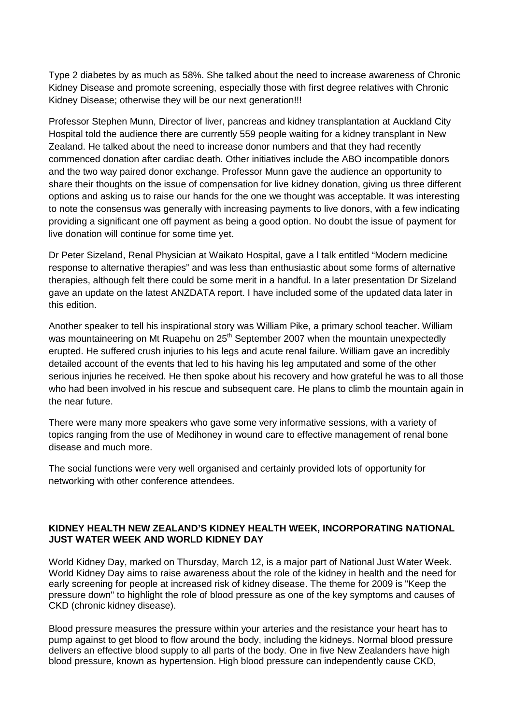Type 2 diabetes by as much as 58%. She talked about the need to increase awareness of Chronic Kidney Disease and promote screening, especially those with first degree relatives with Chronic Kidney Disease; otherwise they will be our next generation!!!

Professor Stephen Munn, Director of liver, pancreas and kidney transplantation at Auckland City Hospital told the audience there are currently 559 people waiting for a kidney transplant in New Zealand. He talked about the need to increase donor numbers and that they had recently commenced donation after cardiac death. Other initiatives include the ABO incompatible donors and the two way paired donor exchange. Professor Munn gave the audience an opportunity to share their thoughts on the issue of compensation for live kidney donation, giving us three different options and asking us to raise our hands for the one we thought was acceptable. It was interesting to note the consensus was generally with increasing payments to live donors, with a few indicating providing a significant one off payment as being a good option. No doubt the issue of payment for live donation will continue for some time yet.

Dr Peter Sizeland, Renal Physician at Waikato Hospital, gave a l talk entitled "Modern medicine response to alternative therapies" and was less than enthusiastic about some forms of alternative therapies, although felt there could be some merit in a handful. In a later presentation Dr Sizeland gave an update on the latest ANZDATA report. I have included some of the updated data later in this edition.

Another speaker to tell his inspirational story was William Pike, a primary school teacher. William was mountaineering on Mt Ruapehu on 25<sup>th</sup> September 2007 when the mountain unexpectedly erupted. He suffered crush injuries to his legs and acute renal failure. William gave an incredibly detailed account of the events that led to his having his leg amputated and some of the other serious injuries he received. He then spoke about his recovery and how grateful he was to all those who had been involved in his rescue and subsequent care. He plans to climb the mountain again in the near future.

There were many more speakers who gave some very informative sessions, with a variety of topics ranging from the use of Medihoney in wound care to effective management of renal bone disease and much more.

The social functions were very well organised and certainly provided lots of opportunity for networking with other conference attendees.

#### **KIDNEY HEALTH NEW ZEALAND'S KIDNEY HEALTH WEEK, INCORPORATING NATIONAL JUST WATER WEEK AND WORLD KIDNEY DAY**

World Kidney Day, marked on Thursday, March 12, is a major part of National Just Water Week. World Kidney Day aims to raise awareness about the role of the kidney in health and the need for early screening for people at increased risk of kidney disease. The theme for 2009 is "Keep the pressure down" to highlight the role of blood pressure as one of the key symptoms and causes of CKD (chronic kidney disease).

Blood pressure measures the pressure within your arteries and the resistance your heart has to pump against to get blood to flow around the body, including the kidneys. Normal blood pressure delivers an effective blood supply to all parts of the body. One in five New Zealanders have high blood pressure, known as hypertension. High blood pressure can independently cause CKD,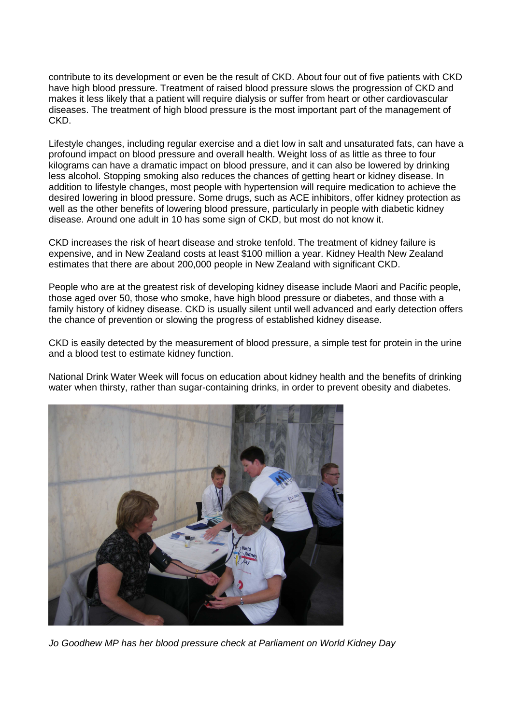contribute to its development or even be the result of CKD. About four out of five patients with CKD have high blood pressure. Treatment of raised blood pressure slows the progression of CKD and makes it less likely that a patient will require dialysis or suffer from heart or other cardiovascular diseases. The treatment of high blood pressure is the most important part of the management of CKD.

Lifestyle changes, including regular exercise and a diet low in salt and unsaturated fats, can have a profound impact on blood pressure and overall health. Weight loss of as little as three to four kilograms can have a dramatic impact on blood pressure, and it can also be lowered by drinking less alcohol. Stopping smoking also reduces the chances of getting heart or kidney disease. In addition to lifestyle changes, most people with hypertension will require medication to achieve the desired lowering in blood pressure. Some drugs, such as ACE inhibitors, offer kidney protection as well as the other benefits of lowering blood pressure, particularly in people with diabetic kidney disease. Around one adult in 10 has some sign of CKD, but most do not know it.

CKD increases the risk of heart disease and stroke tenfold. The treatment of kidney failure is expensive, and in New Zealand costs at least \$100 million a year. Kidney Health New Zealand estimates that there are about 200,000 people in New Zealand with significant CKD.

People who are at the greatest risk of developing kidney disease include Maori and Pacific people, those aged over 50, those who smoke, have high blood pressure or diabetes, and those with a family history of kidney disease. CKD is usually silent until well advanced and early detection offers the chance of prevention or slowing the progress of established kidney disease.

CKD is easily detected by the measurement of blood pressure, a simple test for protein in the urine and a blood test to estimate kidney function.

National Drink Water Week will focus on education about kidney health and the benefits of drinking water when thirsty, rather than sugar-containing drinks, in order to prevent obesity and diabetes.



Jo Goodhew MP has her blood pressure check at Parliament on World Kidney Day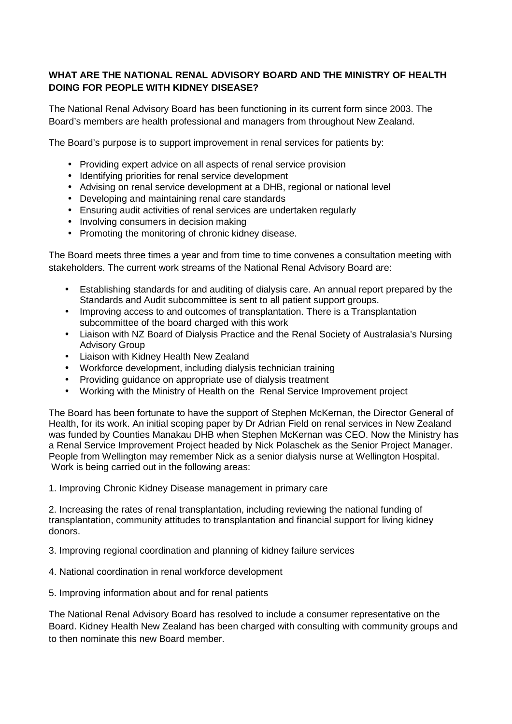### **WHAT ARE THE NATIONAL RENAL ADVISORY BOARD AND THE MINISTRY OF HEALTH DOING FOR PEOPLE WITH KIDNEY DISEASE?**

The National Renal Advisory Board has been functioning in its current form since 2003. The Board's members are health professional and managers from throughout New Zealand.

The Board's purpose is to support improvement in renal services for patients by:

- Providing expert advice on all aspects of renal service provision
- Identifying priorities for renal service development
- Advising on renal service development at a DHB, regional or national level
- Developing and maintaining renal care standards
- Ensuring audit activities of renal services are undertaken regularly
- Involving consumers in decision making
- Promoting the monitoring of chronic kidney disease.

The Board meets three times a year and from time to time convenes a consultation meeting with stakeholders. The current work streams of the National Renal Advisory Board are:

- Establishing standards for and auditing of dialysis care. An annual report prepared by the Standards and Audit subcommittee is sent to all patient support groups.
- Improving access to and outcomes of transplantation. There is a Transplantation subcommittee of the board charged with this work
- Liaison with NZ Board of Dialysis Practice and the Renal Society of Australasia's Nursing Advisory Group
- Liaison with Kidney Health New Zealand
- Workforce development, including dialysis technician training
- Providing guidance on appropriate use of dialysis treatment
- Working with the Ministry of Health on the Renal Service Improvement project

The Board has been fortunate to have the support of Stephen McKernan, the Director General of Health, for its work. An initial scoping paper by Dr Adrian Field on renal services in New Zealand was funded by Counties Manakau DHB when Stephen McKernan was CEO. Now the Ministry has a Renal Service Improvement Project headed by Nick Polaschek as the Senior Project Manager. People from Wellington may remember Nick as a senior dialysis nurse at Wellington Hospital. Work is being carried out in the following areas:

1. Improving Chronic Kidney Disease management in primary care

2. Increasing the rates of renal transplantation, including reviewing the national funding of transplantation, community attitudes to transplantation and financial support for living kidney donors.

3. Improving regional coordination and planning of kidney failure services

- 4. National coordination in renal workforce development
- 5. Improving information about and for renal patients

The National Renal Advisory Board has resolved to include a consumer representative on the Board. Kidney Health New Zealand has been charged with consulting with community groups and to then nominate this new Board member.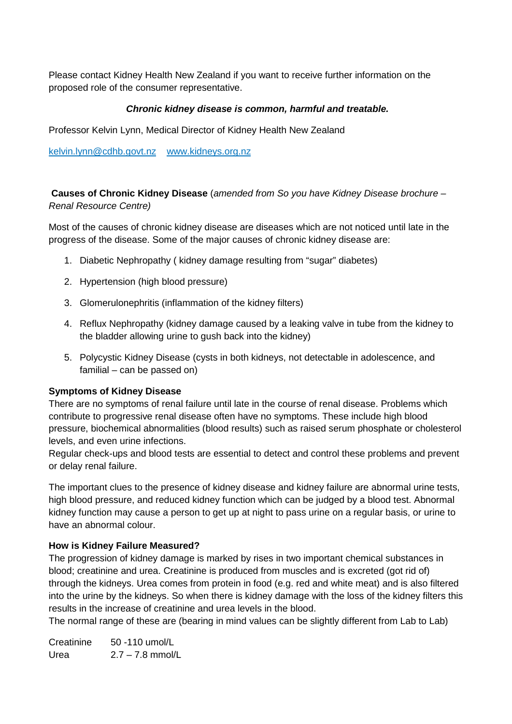Please contact Kidney Health New Zealand if you want to receive further information on the proposed role of the consumer representative.

#### **Chronic kidney disease is common, harmful and treatable.**

Professor Kelvin Lynn, Medical Director of Kidney Health New Zealand

kelvin.lynn@cdhb.govt.nz www.kidneys.org.nz

 **Causes of Chronic Kidney Disease** (amended from So you have Kidney Disease brochure – Renal Resource Centre)

Most of the causes of chronic kidney disease are diseases which are not noticed until late in the progress of the disease. Some of the major causes of chronic kidney disease are:

- 1. Diabetic Nephropathy ( kidney damage resulting from "sugar" diabetes)
- 2. Hypertension (high blood pressure)
- 3. Glomerulonephritis (inflammation of the kidney filters)
- 4. Reflux Nephropathy (kidney damage caused by a leaking valve in tube from the kidney to the bladder allowing urine to gush back into the kidney)
- 5. Polycystic Kidney Disease (cysts in both kidneys, not detectable in adolescence, and familial – can be passed on)

#### **Symptoms of Kidney Disease**

There are no symptoms of renal failure until late in the course of renal disease. Problems which contribute to progressive renal disease often have no symptoms. These include high blood pressure, biochemical abnormalities (blood results) such as raised serum phosphate or cholesterol levels, and even urine infections.

Regular check-ups and blood tests are essential to detect and control these problems and prevent or delay renal failure.

The important clues to the presence of kidney disease and kidney failure are abnormal urine tests, high blood pressure, and reduced kidney function which can be judged by a blood test. Abnormal kidney function may cause a person to get up at night to pass urine on a regular basis, or urine to have an abnormal colour.

#### **How is Kidney Failure Measured?**

The progression of kidney damage is marked by rises in two important chemical substances in blood; creatinine and urea. Creatinine is produced from muscles and is excreted (got rid of) through the kidneys. Urea comes from protein in food (e.g. red and white meat) and is also filtered into the urine by the kidneys. So when there is kidney damage with the loss of the kidney filters this results in the increase of creatinine and urea levels in the blood.

The normal range of these are (bearing in mind values can be slightly different from Lab to Lab)

| Creatinine | 50 -110 umol/L     |
|------------|--------------------|
| Urea       | $2.7 - 7.8$ mmol/L |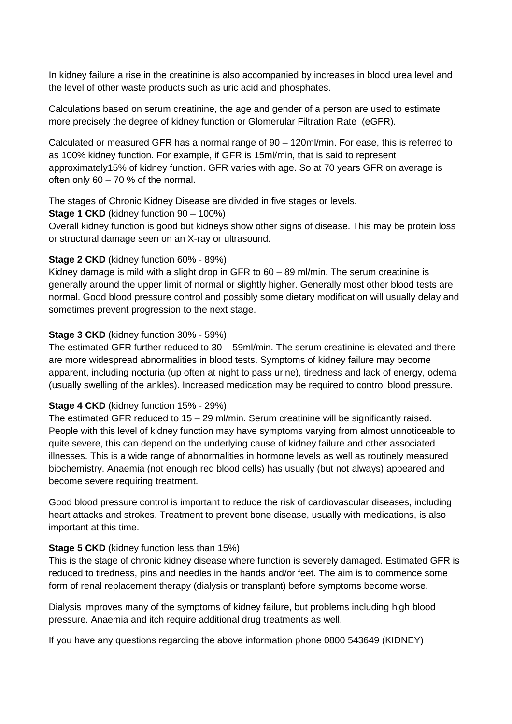In kidney failure a rise in the creatinine is also accompanied by increases in blood urea level and the level of other waste products such as uric acid and phosphates.

Calculations based on serum creatinine, the age and gender of a person are used to estimate more precisely the degree of kidney function or Glomerular Filtration Rate (eGFR).

Calculated or measured GFR has a normal range of 90 – 120ml/min. For ease, this is referred to as 100% kidney function. For example, if GFR is 15ml/min, that is said to represent approximately15% of kidney function. GFR varies with age. So at 70 years GFR on average is often only  $60 - 70$  % of the normal.

The stages of Chronic Kidney Disease are divided in five stages or levels.

**Stage 1 CKD** (kidney function 90 – 100%)

Overall kidney function is good but kidneys show other signs of disease. This may be protein loss or structural damage seen on an X-ray or ultrasound.

#### **Stage 2 CKD** (kidney function 60% - 89%)

Kidney damage is mild with a slight drop in GFR to 60 – 89 ml/min. The serum creatinine is generally around the upper limit of normal or slightly higher. Generally most other blood tests are normal. Good blood pressure control and possibly some dietary modification will usually delay and sometimes prevent progression to the next stage.

### **Stage 3 CKD** (kidney function 30% - 59%)

The estimated GFR further reduced to 30 – 59ml/min. The serum creatinine is elevated and there are more widespread abnormalities in blood tests. Symptoms of kidney failure may become apparent, including nocturia (up often at night to pass urine), tiredness and lack of energy, odema (usually swelling of the ankles). Increased medication may be required to control blood pressure.

### **Stage 4 CKD** (kidney function 15% - 29%)

The estimated GFR reduced to 15 – 29 ml/min. Serum creatinine will be significantly raised. People with this level of kidney function may have symptoms varying from almost unnoticeable to quite severe, this can depend on the underlying cause of kidney failure and other associated illnesses. This is a wide range of abnormalities in hormone levels as well as routinely measured biochemistry. Anaemia (not enough red blood cells) has usually (but not always) appeared and become severe requiring treatment.

Good blood pressure control is important to reduce the risk of cardiovascular diseases, including heart attacks and strokes. Treatment to prevent bone disease, usually with medications, is also important at this time.

### **Stage 5 CKD** (kidney function less than 15%)

This is the stage of chronic kidney disease where function is severely damaged. Estimated GFR is reduced to tiredness, pins and needles in the hands and/or feet. The aim is to commence some form of renal replacement therapy (dialysis or transplant) before symptoms become worse.

Dialysis improves many of the symptoms of kidney failure, but problems including high blood pressure. Anaemia and itch require additional drug treatments as well.

If you have any questions regarding the above information phone 0800 543649 (KIDNEY)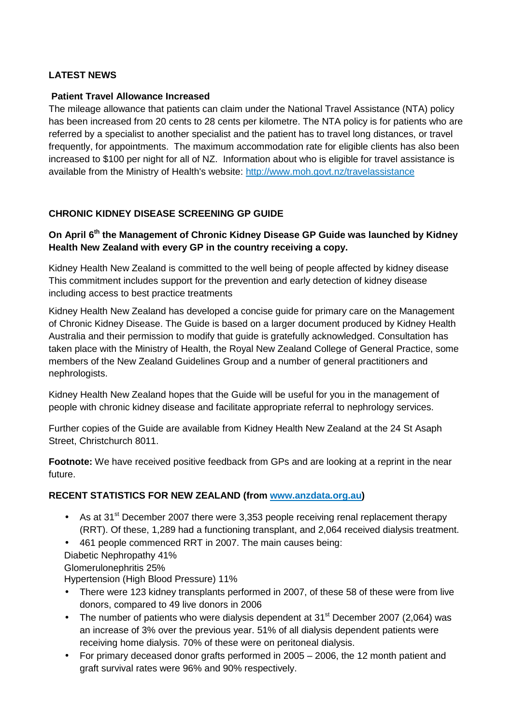### **LATEST NEWS**

#### **Patient Travel Allowance Increased**

The mileage allowance that patients can claim under the National Travel Assistance (NTA) policy has been increased from 20 cents to 28 cents per kilometre. The NTA policy is for patients who are referred by a specialist to another specialist and the patient has to travel long distances, or travel frequently, for appointments. The maximum accommodation rate for eligible clients has also been increased to \$100 per night for all of NZ. Information about who is eligible for travel assistance is available from the Ministry of Health's website: http://www.moh.govt.nz/travelassistance

### **CHRONIC KIDNEY DISEASE SCREENING GP GUIDE**

#### **On April 6th the Management of Chronic Kidney Disease GP Guide was launched by Kidney Health New Zealand with every GP in the country receiving a copy.**

Kidney Health New Zealand is committed to the well being of people affected by kidney disease This commitment includes support for the prevention and early detection of kidney disease including access to best practice treatments

Kidney Health New Zealand has developed a concise guide for primary care on the Management of Chronic Kidney Disease. The Guide is based on a larger document produced by Kidney Health Australia and their permission to modify that guide is gratefully acknowledged. Consultation has taken place with the Ministry of Health, the Royal New Zealand College of General Practice, some members of the New Zealand Guidelines Group and a number of general practitioners and nephrologists.

Kidney Health New Zealand hopes that the Guide will be useful for you in the management of people with chronic kidney disease and facilitate appropriate referral to nephrology services.

Further copies of the Guide are available from Kidney Health New Zealand at the 24 St Asaph Street, Christchurch 8011.

**Footnote:** We have received positive feedback from GPs and are looking at a reprint in the near future.

### **RECENT STATISTICS FOR NEW ZEALAND (from www.anzdata.org.au)**

- As at 31<sup>st</sup> December 2007 there were 3,353 people receiving renal replacement therapy (RRT). Of these, 1,289 had a functioning transplant, and 2,064 received dialysis treatment.
- 461 people commenced RRT in 2007. The main causes being: Diabetic Nephropathy 41%
- Glomerulonephritis 25%

Hypertension (High Blood Pressure) 11%

- There were 123 kidney transplants performed in 2007, of these 58 of these were from live donors, compared to 49 live donors in 2006
- The number of patients who were dialysis dependent at  $31<sup>st</sup>$  December 2007 (2,064) was an increase of 3% over the previous year. 51% of all dialysis dependent patients were receiving home dialysis. 70% of these were on peritoneal dialysis.
- For primary deceased donor grafts performed in 2005 2006, the 12 month patient and graft survival rates were 96% and 90% respectively.